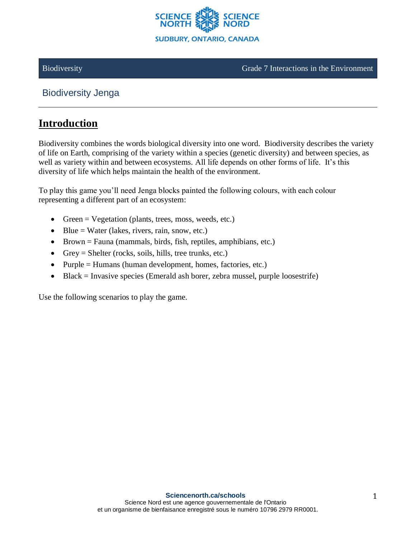

Biodiversity Grade 7 Interactions in the Environment

Biodiversity Jenga

## **Introduction**

Biodiversity combines the words biological diversity into one word. Biodiversity describes the variety of life on Earth, comprising of the variety within a species (genetic diversity) and between species, as well as variety within and between ecosystems. All life depends on other forms of life. It's this diversity of life which helps maintain the health of the environment.

To play this game you'll need Jenga blocks painted the following colours, with each colour representing a different part of an ecosystem:

- Green = Vegetation (plants, trees, moss, weeds, etc.)
- Blue = Water (lakes, rivers, rain, snow, etc.)
- Brown = Fauna (mammals, birds, fish, reptiles, amphibians, etc.)
- Grey = Shelter (rocks, soils, hills, tree trunks, etc.)
- Purple = Humans (human development, homes, factories, etc.)
- Black = Invasive species (Emerald ash borer, zebra mussel, purple loosestrife)

Use the following scenarios to play the game.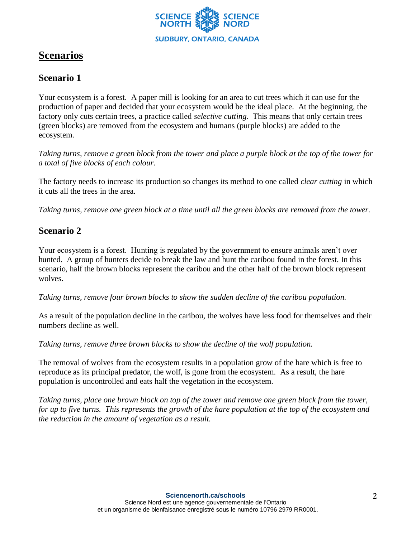

# **Scenarios**

## **Scenario 1**

Your ecosystem is a forest. A paper mill is looking for an area to cut trees which it can use for the production of paper and decided that your ecosystem would be the ideal place. At the beginning, the factory only cuts certain trees, a practice called *selective cutting*. This means that only certain trees (green blocks) are removed from the ecosystem and humans (purple blocks) are added to the ecosystem.

*Taking turns, remove a green block from the tower and place a purple block at the top of the tower for a total of five blocks of each colour.* 

The factory needs to increase its production so changes its method to one called *clear cutting* in which it cuts all the trees in the area.

*Taking turns, remove one green block at a time until all the green blocks are removed from the tower.* 

#### **Scenario 2**

Your ecosystem is a forest. Hunting is regulated by the government to ensure animals aren't over hunted. A group of hunters decide to break the law and hunt the caribou found in the forest. In this scenario, half the brown blocks represent the caribou and the other half of the brown block represent wolves.

*Taking turns, remove four brown blocks to show the sudden decline of the caribou population.* 

As a result of the population decline in the caribou, the wolves have less food for themselves and their numbers decline as well.

*Taking turns, remove three brown blocks to show the decline of the wolf population.* 

The removal of wolves from the ecosystem results in a population grow of the hare which is free to reproduce as its principal predator, the wolf, is gone from the ecosystem. As a result, the hare population is uncontrolled and eats half the vegetation in the ecosystem.

*Taking turns, place one brown block on top of the tower and remove one green block from the tower, for up to five turns. This represents the growth of the hare population at the top of the ecosystem and the reduction in the amount of vegetation as a result.*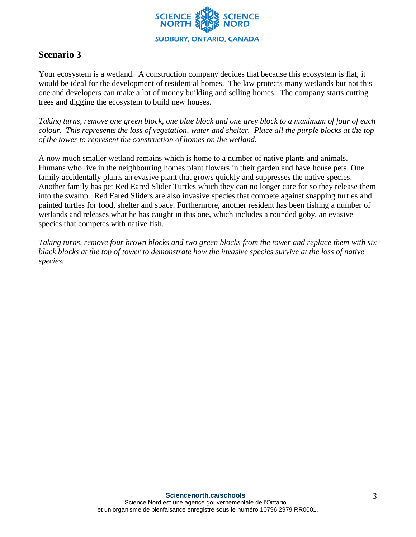

### **Scenario 3**

Your ecosystem is a wetland. A construction company decides that because this ecosystem is flat, it would be ideal for the development of residential homes. The law protects many wetlands but not this one and developers can make a lot of money building and selling homes. The company starts cutting trees and digging the ecosystem to build new houses.

*Taking turns, remove one green block, one blue block and one grey block to a maximum of four of each colour. This represents the loss of vegetation, water and shelter. Place all the purple blocks at the top of the tower to represent the construction of homes on the wetland.* 

A now much smaller wetland remains which is home to a number of native plants and animals. Humans who live in the neighbouring homes plant flowers in their garden and have house pets. One family accidentally plants an evasive plant that grows quickly and suppresses the native species. Another family has pet Red Eared Slider Turtles which they can no longer care for so they release them into the swamp. Red Eared Sliders are also invasive species that compete against snapping turtles and painted turtles for food, shelter and space. Furthermore, another resident has been fishing a number of wetlands and releases what he has caught in this one, which includes a rounded goby, an evasive species that competes with native fish.

*Taking turns, remove four brown blocks and two green blocks from the tower and replace them with six black blocks at the top of tower to demonstrate how the invasive species survive at the loss of native species.*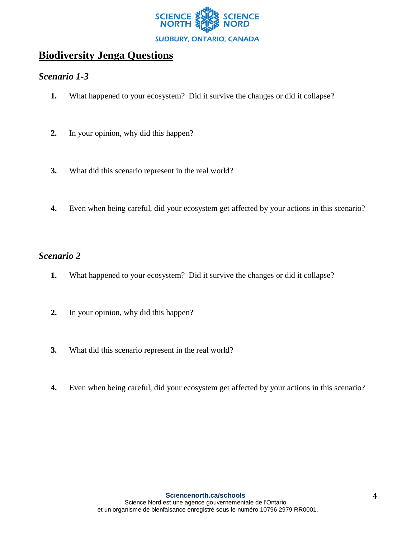

# **Biodiversity Jenga Questions**

#### *Scenario 1-3*

- **1.** What happened to your ecosystem? Did it survive the changes or did it collapse?
- **2.** In your opinion, why did this happen?
- **3.** What did this scenario represent in the real world?
- **4.** Even when being careful, did your ecosystem get affected by your actions in this scenario?

#### *Scenario 2*

- **1.** What happened to your ecosystem? Did it survive the changes or did it collapse?
- **2.** In your opinion, why did this happen?
- **3.** What did this scenario represent in the real world?
- **4.** Even when being careful, did your ecosystem get affected by your actions in this scenario?